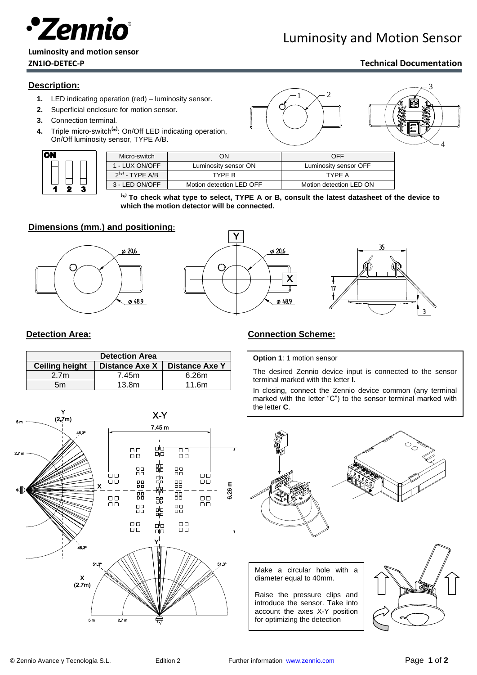

## Luminosity and Motion Sensor

# **Luminosity and motion sensor**

#### **ZN1IO-DETEC-P Technical Documentation**

3

3

4

#### **Description:**

- **1.** LED indicating operation (red) luminosity sensor.
- **2.** Superficial enclosure for motion sensor.
- **3.** Connection terminal.
- **4.** Triple micro-switch**( \* )** : On/Off LED indicating operation, On/Off luminosity sensor, TYPE A/B.



| Micro-switch         | OΝ                       | OFF                     |
|----------------------|--------------------------|-------------------------|
| 1 - LUX ON/OFF       | Luminosity sensor ON     | Luminosity sensor OFF   |
| $2^{(*)}$ - TYPE A/B | TYPF B                   | TYPF A                  |
| 3 - LED ON/OFF       | Motion detection LED OFF | Motion detection LED ON |

**( \* ) To check what type to select, TYPE A or B, consult the latest datasheet of the device to which the motion detector will be connected.**

 $1 \searrow 2$ 

#### **Dimensions (mm.) and positioning:**







| <b>Detection Area</b> |                       |                       |  |
|-----------------------|-----------------------|-----------------------|--|
| <b>Ceiling height</b> | <b>Distance Axe X</b> | <b>Distance Axe Y</b> |  |
| 2.7 <sub>m</sub>      | 7.45m                 | 6.26m                 |  |
| 5m                    | 13.8 <sub>m</sub>     | 11.6m                 |  |



#### **Detection Area: Connection Scheme: Connection Scheme:**

#### **Option 1**: 1 motion sensor

The desired Zennio device input is connected to the sensor terminal marked with the letter **I**.

In closing, connect the Zennio device common (any terminal marked with the letter "C") to the sensor terminal marked with the letter **C**.



diameter equal to 40mm.

Raise the pressure clips and introduce the sensor. Take into account the axes X-Y position for optimizing the detection